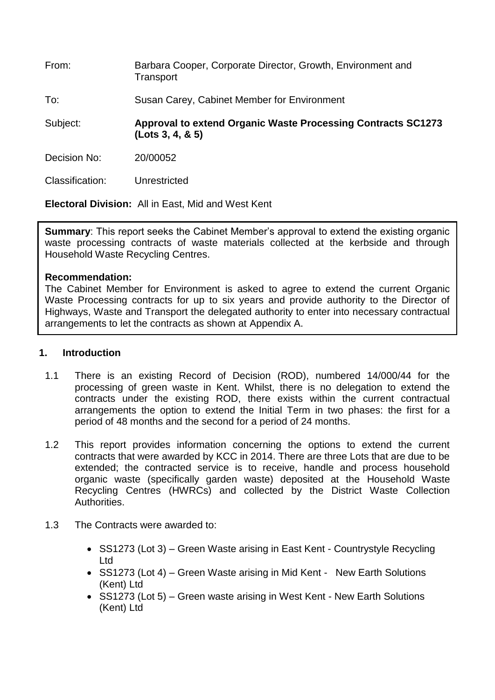| From:           | Barbara Cooper, Corporate Director, Growth, Environment and<br>Transport                 |
|-----------------|------------------------------------------------------------------------------------------|
| To:             | Susan Carey, Cabinet Member for Environment                                              |
| Subject:        | <b>Approval to extend Organic Waste Processing Contracts SC1273</b><br>(Lots 3, 4, 8, 5) |
| Decision No:    | 20/00052                                                                                 |
| Classification: | Unrestricted                                                                             |

**Electoral Division:** All in East, Mid and West Kent

**Summary:** This report seeks the Cabinet Member's approval to extend the existing organic waste processing contracts of waste materials collected at the kerbside and through Household Waste Recycling Centres.

## **Recommendation:**

The Cabinet Member for Environment is asked to agree to extend the current Organic Waste Processing contracts for up to six years and provide authority to the Director of Highways, Waste and Transport the delegated authority to enter into necessary contractual arrangements to let the contracts as shown at Appendix A.

#### **1. Introduction**

- 1.1 There is an existing Record of Decision (ROD), numbered 14/000/44 for the processing of green waste in Kent. Whilst, there is no delegation to extend the contracts under the existing ROD, there exists within the current contractual arrangements the option to extend the Initial Term in two phases: the first for a period of 48 months and the second for a period of 24 months.
- 1.2 This report provides information concerning the options to extend the current contracts that were awarded by KCC in 2014. There are three Lots that are due to be extended; the contracted service is to receive, handle and process household organic waste (specifically garden waste) deposited at the Household Waste Recycling Centres (HWRCs) and collected by the District Waste Collection Authorities.
- 1.3 The Contracts were awarded to:
	- SS1273 (Lot 3) Green Waste arising in East Kent Countrystyle Recycling Ltd
	- SS1273 (Lot 4) Green Waste arising in Mid Kent New Earth Solutions (Kent) Ltd
	- SS1273 (Lot 5) Green waste arising in West Kent New Earth Solutions (Kent) Ltd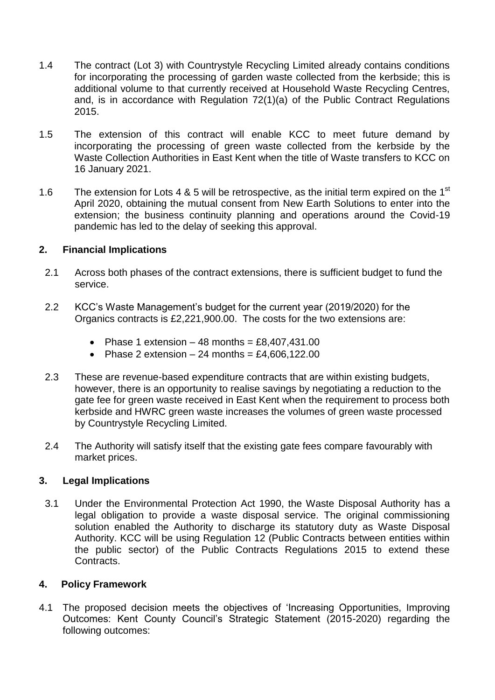- 1.4 The contract (Lot 3) with Countrystyle Recycling Limited already contains conditions for incorporating the processing of garden waste collected from the kerbside; this is additional volume to that currently received at Household Waste Recycling Centres, and, is in accordance with Regulation 72(1)(a) of the Public Contract Regulations 2015.
- 1.5 The extension of this contract will enable KCC to meet future demand by incorporating the processing of green waste collected from the kerbside by the Waste Collection Authorities in East Kent when the title of Waste transfers to KCC on 16 January 2021.
- 1.6 The extension for Lots 4 & 5 will be retrospective, as the initial term expired on the 1<sup>st</sup> April 2020, obtaining the mutual consent from New Earth Solutions to enter into the extension; the business continuity planning and operations around the Covid-19 pandemic has led to the delay of seeking this approval.

## **2. Financial Implications**

- 2.1 Across both phases of the contract extensions, there is sufficient budget to fund the service.
- 2.2 KCC's Waste Management's budget for the current year (2019/2020) for the Organics contracts is £2,221,900.00. The costs for the two extensions are:
	- Phase 1 extension  $-48$  months = £8,407,431.00
	- Phase 2 extension  $-24$  months = £4,606,122.00
- 2.3 These are revenue-based expenditure contracts that are within existing budgets, however, there is an opportunity to realise savings by negotiating a reduction to the gate fee for green waste received in East Kent when the requirement to process both kerbside and HWRC green waste increases the volumes of green waste processed by Countrystyle Recycling Limited.
- 2.4 The Authority will satisfy itself that the existing gate fees compare favourably with market prices.

## **3. Legal Implications**

3.1 Under the Environmental Protection Act 1990, the Waste Disposal Authority has a legal obligation to provide a waste disposal service. The original commissioning solution enabled the Authority to discharge its statutory duty as Waste Disposal Authority. KCC will be using Regulation 12 (Public Contracts between entities within the public sector) of the Public Contracts Regulations 2015 to extend these Contracts.

#### **4. Policy Framework**

4.1 The proposed decision meets the objectives of 'Increasing Opportunities, Improving Outcomes: Kent County Council's Strategic Statement (2015-2020) regarding the following outcomes: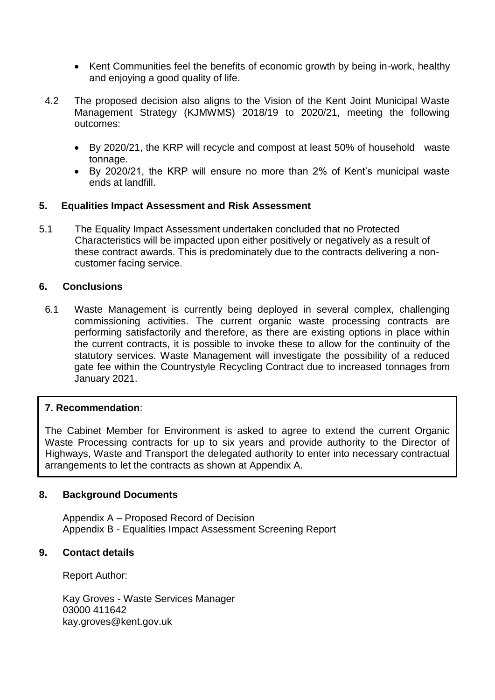- Kent Communities feel the benefits of economic growth by being in-work, healthy and enjoying a good quality of life.
- 4.2 The proposed decision also aligns to the Vision of the Kent Joint Municipal Waste Management Strategy (KJMWMS) 2018/19 to 2020/21, meeting the following outcomes:
	- By 2020/21, the KRP will recycle and compost at least 50% of household waste tonnage.
	- By 2020/21, the KRP will ensure no more than 2% of Kent's municipal waste ends at landfill.

## **5. Equalities Impact Assessment and Risk Assessment**

5.1 The Equality Impact Assessment undertaken concluded that no Protected Characteristics will be impacted upon either positively or negatively as a result of these contract awards. This is predominately due to the contracts delivering a noncustomer facing service.

## **6. Conclusions**

6.1 Waste Management is currently being deployed in several complex, challenging commissioning activities. The current organic waste processing contracts are performing satisfactorily and therefore, as there are existing options in place within the current contracts, it is possible to invoke these to allow for the continuity of the statutory services. Waste Management will investigate the possibility of a reduced gate fee within the Countrystyle Recycling Contract due to increased tonnages from January 2021.

# **7. Recommendation**:

The Cabinet Member for Environment is asked to agree to extend the current Organic Waste Processing contracts for up to six years and provide authority to the Director of Highways, Waste and Transport the delegated authority to enter into necessary contractual arrangements to let the contracts as shown at Appendix A.

## **8. Background Documents**

Appendix A – Proposed Record of Decision Appendix B - Equalities Impact Assessment Screening Report

## **9. Contact details**

Report Author:

Kay Groves - Waste Services Manager 03000 411642 kay.groves@kent.gov.uk